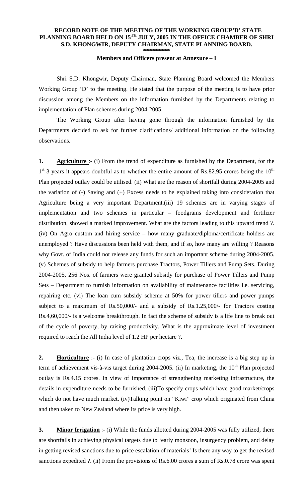## **RECORD NOTE OF THE MEETING OF THE WORKING GROUP'D' STATE PLANNING BOARD HELD ON 15TH JULY, 2005 IN THE OFFICE CHAMBER OF SHRI S.D. KHONGWIR, DEPUTY CHAIRMAN, STATE PLANNING BOARD. \*\*\*\*\*\*\*\*\***

## **Members and Officers present at Annexure – I**

 Shri S.D. Khongwir, Deputy Chairman, State Planning Board welcomed the Members Working Group 'D' to the meeting. He stated that the purpose of the meeting is to have prior discussion among the Members on the information furnished by the Departments relating to implementation of Plan schemes during 2004-2005.

 The Working Group after having gone through the information furnished by the Departments decided to ask for further clarifications/ additional information on the following observations.

**1. Agriculture** :- (i) From the trend of expenditure as furnished by the Department, for the  $1<sup>st</sup>$  3 years it appears doubtful as to whether the entire amount of Rs.82.95 crores being the  $10<sup>th</sup>$ Plan projected outlay could be utilised. (ii) What are the reason of shortfall during 2004-2005 and the variation of (-) Saving and (+) Excess needs to be explained taking into consideration that Agriculture being a very important Department.(iii) 19 schemes are in varying stages of implementation and two schemes in particular – foodgrains development and fertilizer distribution, showed a marked improvement. What are the factors leading to this upward trend ?. (iv) On Agro custom and hiring service – how many graduate/diploma/certificate holders are unemployed ? Have discussions been held with them, and if so, how many are willing ? Reasons why Govt. of India could not release any funds for such an important scheme during 2004-2005. (v) Schemes of subsidy to help farmers purchase Tractors, Power Tillers and Pump Sets. During 2004-2005, 256 Nos. of farmers were granted subsidy for purchase of Power Tillers and Pump Sets – Department to furnish information on availability of maintenance facilities i.e. servicing, repairing etc. (vi) The loan cum subsidy scheme at 50% for power tillers and power pumps subject to a maximum of Rs.50,000/- and a subsidy of Rs.1.25,000/- for Tractors costing Rs.4,60,000/- is a welcome breakthrough. In fact the scheme of subsidy is a life line to break out of the cycle of poverty, by raising productivity. What is the approximate level of investment required to reach the All India level of 1.2 HP per hectare ?.

**2. Horticulture** :- (i) In case of plantation crops viz., Tea, the increase is a big step up in term of achievement vis-à-vis target during 2004-2005. (ii) In marketing, the 10<sup>th</sup> Plan projected outlay is Rs.4.15 crores. In view of importance of strengthening marketing infrastructure, the details in expenditure needs to be furnished. (iii)To specify crops which have good market/crops which do not have much market. (iv)Talking point on "Kiwi" crop which originated from China and then taken to New Zealand where its price is very high.

**3. Minor Irrigation** :- (i) While the funds allotted during 2004-2005 was fully utilized, there are shortfalls in achieving physical targets due to 'early monsoon, insurgency problem, and delay in getting revised sanctions due to price escalation of materials' Is there any way to get the revised sanctions expedited ?. (ii) From the provisions of Rs.6.00 crores a sum of Rs.0.78 crore was spent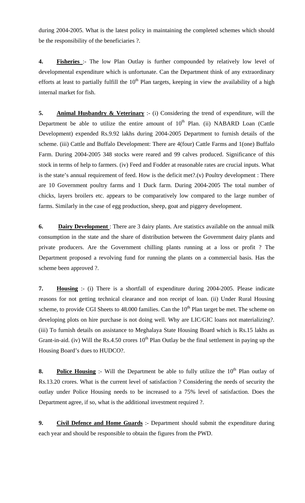during 2004-2005. What is the latest policy in maintaining the completed schemes which should be the responsibility of the beneficiaries ?.

**4. Fisheries** :- The low Plan Outlay is further compounded by relatively low level of developmental expenditure which is unfortunate. Can the Department think of any extraordinary efforts at least to partially fulfill the  $10<sup>th</sup>$  Plan targets, keeping in view the availability of a high internal market for fish.

**5. Animal Husbandry & Veterinary** :- (i) Considering the trend of expenditure, will the Department be able to utilize the entire amount of  $10<sup>th</sup>$  Plan. (ii) NABARD Loan (Cattle Development) expended Rs.9.92 lakhs during 2004-2005 Department to furnish details of the scheme. (iii) Cattle and Buffalo Development: There are 4(four) Cattle Farms and 1(one) Buffalo Farm. During 2004-2005 348 stocks were reared and 99 calves produced. Significance of this stock in terms of help to farmers. (iv) Feed and Fodder at reasonable rates are crucial inputs. What is the state's annual requirement of feed. How is the deficit met?.(v) Poultry development : There are 10 Government poultry farms and 1 Duck farm. During 2004-2005 The total number of chicks, layers broilers etc. appears to be comparatively low compared to the large number of farms. Similarly in the case of egg production, sheep, goat and piggery development.

**6. Dairy Development**: There are 3 dairy plants. Are statistics available on the annual milk consumption in the state and the share of distribution between the Government dairy plants and private producers. Are the Government chilling plants running at a loss or profit ? The Department proposed a revolving fund for running the plants on a commercial basis. Has the scheme been approved ?.

**7. Housing** :- (i) There is a shortfall of expenditure during 2004-2005. Please indicate reasons for not getting technical clearance and non receipt of loan. (ii) Under Rural Housing scheme, to provide CGI Sheets to  $48.000$  families. Can the  $10<sup>th</sup>$  Plan target be met. The scheme on developing plots on hire purchase is not doing well. Why are LIC/GIC loans not materializing?. (iii) To furnish details on assistance to Meghalaya State Housing Board which is Rs.15 lakhs as Grant-in-aid. (iv) Will the Rs.4.50 crores  $10<sup>th</sup>$  Plan Outlay be the final settlement in paying up the Housing Board's dues to HUDCO?.

**8. Police Housing** :- Will the Department be able to fully utilize the  $10<sup>th</sup>$  Plan outlay of Rs.13.20 crores. What is the current level of satisfaction ? Considering the needs of security the outlay under Police Housing needs to be increased to a 75% level of satisfaction. Does the Department agree, if so, what is the additional investment required ?.

**9. Civil Defence and Home Guards** :- Department should submit the expenditure during each year and should be responsible to obtain the figures from the PWD.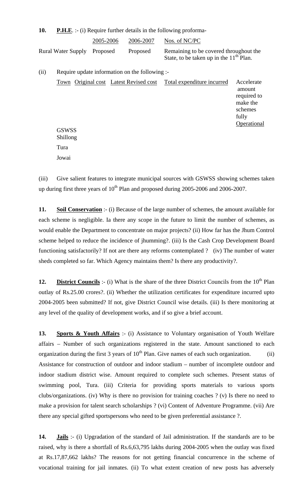| 10.  |                                                |           |                                        | <b>P.H.E.</b> :- (i) Require further details in the following proforma-             |                                                                                    |
|------|------------------------------------------------|-----------|----------------------------------------|-------------------------------------------------------------------------------------|------------------------------------------------------------------------------------|
|      |                                                | 2005-2006 | 2006-2007                              | Nos. of NC/PC                                                                       |                                                                                    |
|      | <b>Rural Water Supply</b>                      | Proposed  | Proposed                               | Remaining to be covered throughout the<br>State, to be taken up in the $11th$ Plan. |                                                                                    |
| (ii) | Require update information on the following :- |           |                                        |                                                                                     |                                                                                    |
|      | <b>GSWSS</b>                                   |           | Town Original cost Latest Revised cost | Total expenditure incurred                                                          | Accelerate<br>amount<br>required to<br>make the<br>schemes<br>fully<br>Operational |
|      | Shillong                                       |           |                                        |                                                                                     |                                                                                    |
|      | Tura                                           |           |                                        |                                                                                     |                                                                                    |

(iii) Give salient features to integrate municipal sources with GSWSS showing schemes taken up during first three years of  $10^{th}$  Plan and proposed during 2005-2006 and 2006-2007.

Jowai

**11. Soil Conservation** :- (i) Because of the large number of schemes, the amount available for each scheme is negligible. Ia there any scope in the future to limit the number of schemes, as would enable the Department to concentrate on major projects? (ii) How far has the Jhum Control scheme helped to reduce the incidence of jhumming?. (iii) Is the Cash Crop Development Board functioning satisfactorily? If not are there any reforms contemplated ? (iv) The number of water sheds completed so far. Which Agency maintains them? Is there any productivity?.

**12. District Councils** :- (i) What is the share of the three District Councils from the 10<sup>th</sup> Plan outlay of Rs.25.00 crores?. (ii) Whether the utilization certificates for expenditure incurred upto 2004-2005 been submitted? If not, give District Council wise details. (iii) Is there monitoring at any level of the quality of development works, and if so give a brief account.

**13. Sports & Youth Affairs** :- (i) Assistance to Voluntary organisation of Youth Welfare affairs – Number of such organizations registered in the state. Amount sanctioned to each organization during the first 3 years of  $10^{th}$  Plan. Give names of each such organization. (ii) Assistance for construction of outdoor and indoor stadium – number of incomplete outdoor and indoor stadium district wise. Amount required to complete such schemes. Present status of swimming pool, Tura. (iii) Criteria for providing sports materials to various sports clubs/organizations. (iv) Why is there no provision for training coaches ? (v) Is there no need to make a provision for talent search scholarships ? (vi) Content of Adventure Programme. (vii) Are there any special gifted sportspersons who need to be given preferential assistance ?.

**14. Jails** :- (i) Upgradation of the standard of Jail administration. If the standards are to be raised, why is there a shortfall of Rs.6,63,795 lakhs during 2004-2005 when the outlay was fixed at Rs.17,87,662 lakhs? The reasons for not getting financial concurrence in the scheme of vocational training for jail inmates. (ii) To what extent creation of new posts has adversely